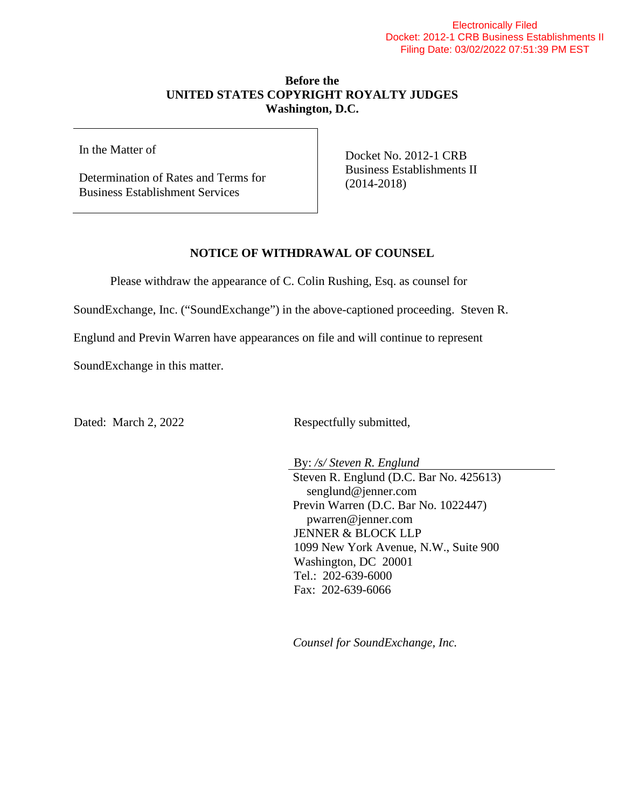## **Before the UNITED STATES COPYRIGHT ROYALTY JUDGES Washington, D.C.**

In the Matter of

Determination of Rates and Terms for Business Establishment Services

Docket No. 2012-1 CRB Business Establishments II (2014-2018)

## **NOTICE OF WITHDRAWAL OF COUNSEL**

Please withdraw the appearance of C. Colin Rushing, Esq. as counsel for

SoundExchange, Inc. ("SoundExchange") in the above-captioned proceeding. Steven R.

Englund and Previn Warren have appearances on file and will continue to represent

SoundExchange in this matter.

Dated: March 2, 2022 Respectfully submitted,

By: */s/ Steven R. Englund* Steven R. Englund (D.C. Bar No. 425613) senglund@jenner.com Previn Warren (D.C. Bar No. 1022447) pwarren@jenner.com JENNER & BLOCK LLP 1099 New York Avenue, N.W., Suite 900 Washington, DC 20001 Tel.: 202-639-6000 Fax: 202-639-6066

*Counsel for SoundExchange, Inc.*